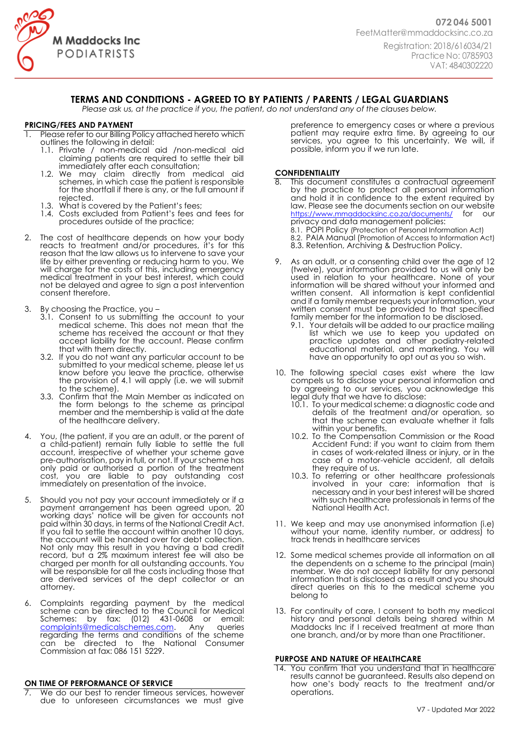

# **TERMS AND CONDITIONS - AGREED TO BY PATIENTS / PARENTS / LEGAL GUARDIANS**

*Please ask us, at the practice if you, the patient, do not understand any of the clauses below.*

# **PRICING/FEES AND PAYMENT**

Please refer to our Billing Policy attached hereto which outlines the following in detail:

- 1.1. Private / non-medical aid /non-medical aid claiming patients are required to settle their bill immediately after each consultation;
- 1.2. We may claim directly from medical aid schemes, in which case the patient is responsible for the shortfall if there is any, or the full amount if rejected.
- 1.3. What is covered by the Patient's fees;
- 1.4. Costs excluded from Patient's fees and fees for procedures outside of the practice;
- 2. The cost of healthcare depends on how your body reacts to treatment and/or procedures, it's for this reason that the law allows us to intervene to save your life by either preventing or reducing harm to you. We will charge for the costs of this, including emergency medical treatment in your best interest, which could not be delayed and agree to sign a post intervention consent therefore.
- 3. By choosing the Practice, you
	- 3.1. Consent to us submitting the account to your medical scheme. This does not mean that the scheme has received the account or that they accept liability for the account. Please confirm that with them directly.
	- 3.2. If you do not want any particular account to be submitted to your medical scheme, please let us know before you leave the practice, otherwise the provision of 4.1 will apply (i.e. we will submit to the scheme).
	- 3.3. Confirm that the Main Member as indicated on the form belongs to the scheme as principal member and the membership is valid at the date of the healthcare delivery.
- 4. You, (the patient, if you are an adult, or the parent of a child-patient) remain fully liable to settle the full account, irrespective of whether your scheme gave pre-authorisation, pay in full, or not. If your scheme has only paid or authorised a portion of the treatment cost, you are liable to pay outstanding cost immediately on presentation of the invoice.
- 5. Should you not pay your account immediately or if a payment arrangement has been agreed upon, 20 working days' notice will be given for accounts not paid within 30 days, in terms of the National Credit Act. If you fail to settle the account within another 10 days, the account will be handed over for debt collection. Not only may this result in you having a bad credit record, but a 2% maximum interest fee will also be charged per month for all outstanding accounts. You will be responsible for all the costs including those that are derived services of the dept collector or an attorney.
- 6. Complaints regarding payment by the medical scheme can be directed to the Council for Medical Schemes: by fax: (012) 431-0608 or email: [complaints@medicalschemes.com.](mailto:complaints@medicalschemes.com) Any queries regarding the terms and conditions of the scheme can be directed to the National Consumer Commission at fax: 086 151 5229.

#### **ON TIME OF PERFORMANCE OF SERVICE**

We do our best to render timeous services, however due to unforeseen circumstances we must give

preference to emergency cases or where a previous patient may require extra time. By agreeing to our services, you agree to this uncertainty. We will, if possible, inform you if we run late.

## **CONFIDENTIALITY**

- This document constitutes a contractual agreement by the practice to protect all personal information and hold it in confidence to the extent required by law. Please see the documents section on our website <https://www.mmaddocksinc.co.za/documents/> for our privacy and data management policies: 8.1. POPI Policy (Protection of Personal Information Act) 8.2. PAIA Manual (Promotion of Access to Information Act) 8.3. Retention, Archiving & Destruction Policy.
- 9. As an adult, or a consenting child over the age of 12 (twelve), your information provided to us will only be used in relation to your healthcare. None of your information will be shared without your informed and written consent. All information is kept confidential and if a family member requests your information, your written consent must be provided to that specified family member for the information to be disclosed.
	- 9.1. Your details will be added to our practice mailing list which we use to keep you updated on practice updates and other podiatry-related educational material, and marketing. You will have an opportunity to opt out as you so wish.
- 10. The following special cases exist where the law compels us to disclose your personal information and by agreeing to our services, you acknowledge this legal duty that we have to disclose:
	- 10.1. To your medical scheme: a diagnostic code and details of the treatment and/or operation, so that the scheme can evaluate whether it falls within your benefits.
	- 10.2. To the Compensation Commission or the Road Accident Fund: if you want to claim from them in cases of work-related illness or injury, or in the case of a motor-vehicle accident, all details they require of us.
	- 10.3. To referring or other healthcare professionals involved in your care: information that is necessary and in your best interest will be shared with such healthcare professionals in terms of the National Health Act.
- 11. We keep and may use anonymised information (i.e) without your name, identity number, or address) to track trends in healthcare services
- 12. Some medical schemes provide all information on all the dependents on a scheme to the principal (main) member. We do not accept liability for any personal information that is disclosed as a result and you should direct queries on this to the medical scheme you belong to
- 13. For continuity of care, I consent to both my medical history and personal details being shared within M Maddocks Inc if I received treatment at more than one branch, and/or by more than one Practitioner.

#### **PURPOSE AND NATURE OF HEALTHCARE**

14. You confirm that you understand that in healthcare results cannot be guaranteed. Results also depend on how one's body reacts to the treatment and/or operations.